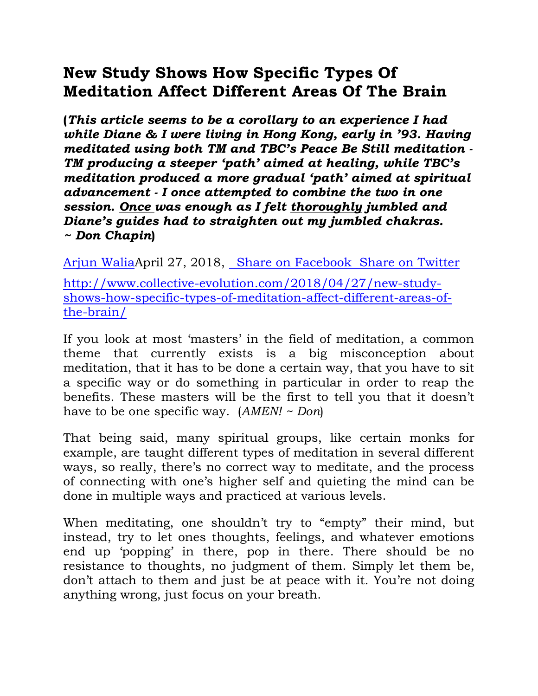## **New Study Shows How Specific Types Of Meditation Affect Different Areas Of The Brain**

**(***This article seems to be a corollary to an experience I had while Diane & I were living in Hong Kong, early in '93. Having meditated using both TM and TBC's Peace Be Still meditation - TM producing a steeper 'path' aimed at healing, while TBC's meditation produced a more gradual 'path' aimed at spiritual advancement - I once attempted to combine the two in one session. Once was enough as I felt thoroughly jumbled and Diane's guides had to straighten out my jumbled chakras. ~ Don Chapin***)**

[Arjun WaliaA](http://www.collective-evolution.com/author/arjun/)pril 27, 2018, [Share on Facebook Share on Twitter](https://www.facebook.com/sharer/sharer.php?u=http%3A%2F%2Fwww.collective-evolution.com%2F2018%2F04%2F27%2Fnew-study-shows-how-specific-types-of-meditation-affect-different-areas-of-the-brain%2F)

[http://www.collective-evolution.com/2018/04/27/new-study](http://www.collective-evolution.com/2018/04/27/new-study-shows-how-specific-types-of-meditation-affect-different-areas-of-the-brain/)[shows-how-specific-types-of-meditation-affect-different-areas-of](http://www.collective-evolution.com/2018/04/27/new-study-shows-how-specific-types-of-meditation-affect-different-areas-of-the-brain/)[the-brain/](http://www.collective-evolution.com/2018/04/27/new-study-shows-how-specific-types-of-meditation-affect-different-areas-of-the-brain/)

If you look at most 'masters' in the field of meditation, a common theme that currently exists is a big misconception about meditation, that it has to be done a certain way, that you have to sit a specific way or do something in particular in order to reap the benefits. These masters will be the first to tell you that it doesn't have to be one specific way. (*AMEN! ~ Don*)

That being said, many spiritual groups, like certain monks for example, are taught different types of meditation in several different ways, so really, there's no correct way to meditate, and the process of connecting with one's higher self and quieting the mind can be done in multiple ways and practiced at various levels.

When meditating, one shouldn't try to "empty" their mind, but instead, try to let ones thoughts, feelings, and whatever emotions end up 'popping' in there, pop in there. There should be no resistance to thoughts, no judgment of them. Simply let them be, don't attach to them and just be at peace with it. You're not doing anything wrong, just focus on your breath.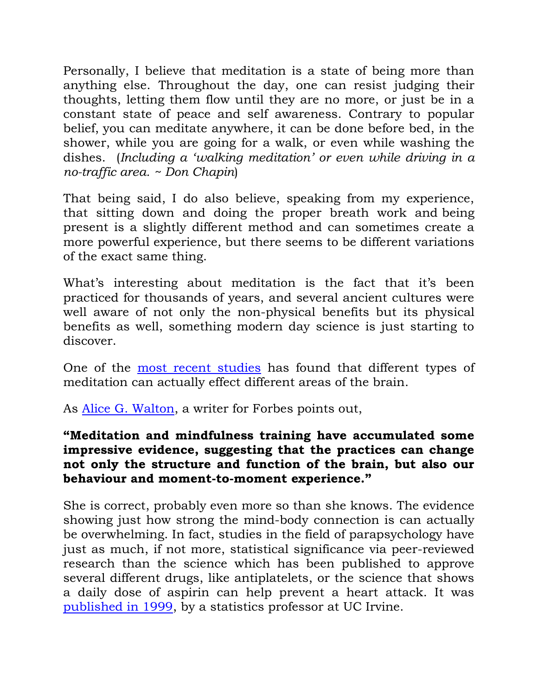Personally, I believe that meditation is a state of being more than anything else. Throughout the day, one can resist judging their thoughts, letting them flow until they are no more, or just be in a constant state of peace and self awareness. Contrary to popular belief, you can meditate anywhere, it can be done before bed, in the shower, while you are going for a walk, or even while washing the dishes. (*Including a 'walking meditation' or even while driving in a no-traffic area. ~ Don Chapin*)

That being said, I do also believe, speaking from my experience, that sitting down and doing the proper breath work and being present is a slightly different method and can sometimes create a more powerful experience, but there seems to be different variations of the exact same thing.

What's interesting about meditation is the fact that it's been practiced for thousands of years, and several ancient cultures were well aware of not only the non-physical benefits but its physical benefits as well, something modern day science is just starting to discover.

One of the [most recent studies](http://advances.sciencemag.org/content/3/10/e1700489) has found that different types of meditation can actually effect different areas of the brain.

As [Alice G. Walton,](https://www.forbes.com/sites/alicegwalton/) a writer for Forbes points out,

## **"Meditation and mindfulness training have accumulated some impressive evidence, suggesting that the practices can change not only the structure and function of the brain, but also our behaviour and moment-to-moment experience."**

She is correct, probably even more so than she knows. The evidence showing just how strong the mind-body connection is can actually be overwhelming. In fact, studies in the field of parapsychology have just as much, if not more, statistical significance via peer-reviewed research than the science which has been published to approve several different drugs, like antiplatelets, or the science that shows a daily dose of aspirin can help prevent a heart attack. It was [published in 1999,](http://www.ics.uci.edu/~jutts/JSE1999.pdf) by a statistics professor at UC Irvine.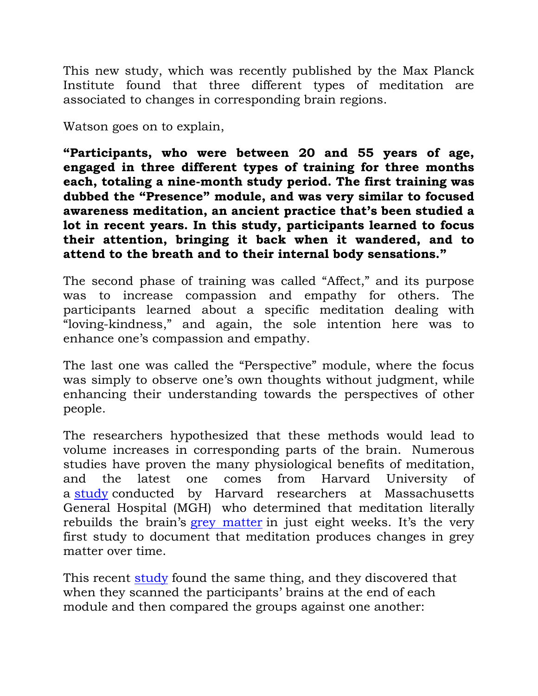This new study, which was recently published by the Max Planck Institute found that three different types of meditation are associated to changes in corresponding brain regions.

Watson goes on to explain,

**"Participants, who were between 20 and 55 years of age, engaged in three different types of training for three months each, totaling a nine-month study period. The first training was dubbed the "Presence" module, and was very similar to focused awareness meditation, an ancient practice that's been studied a lot in recent years. In this study, participants learned to focus their attention, bringing it back when it wandered, and to attend to the breath and to their internal body sensations."**

The second phase of training was called "Affect," and its purpose was to increase compassion and empathy for others. The participants learned about a specific meditation dealing with "loving-kindness," and again, the sole intention here was to enhance one's compassion and empathy.

The last one was called the "Perspective" module, where the focus was simply to observe one's own thoughts without judgment, while enhancing their understanding towards the perspectives of other people.

The researchers hypothesized that these methods would lead to volume increases in corresponding parts of the brain. Numerous studies have proven the many physiological benefits of meditation, and the latest one comes from Harvard University of a [study](http://news.harvard.edu/gazette/story/2011/01/eight-weeks-to-a-better-brain/) conducted by Harvard researchers at Massachusetts General Hospital (MGH) who determined that meditation literally rebuilds the brain's [grey matter](http://www.princeton.edu/~achaney/tmve/wiki100k/docs/Grey_matter.html) in just eight weeks. It's the very first study to document that meditation produces changes in grey matter over time.

This recent [study](http://advances.sciencemag.org/content/3/10/e1700489) found the same thing, and they discovered that when they scanned the participants' brains at the end of each module and then compared the groups against one another: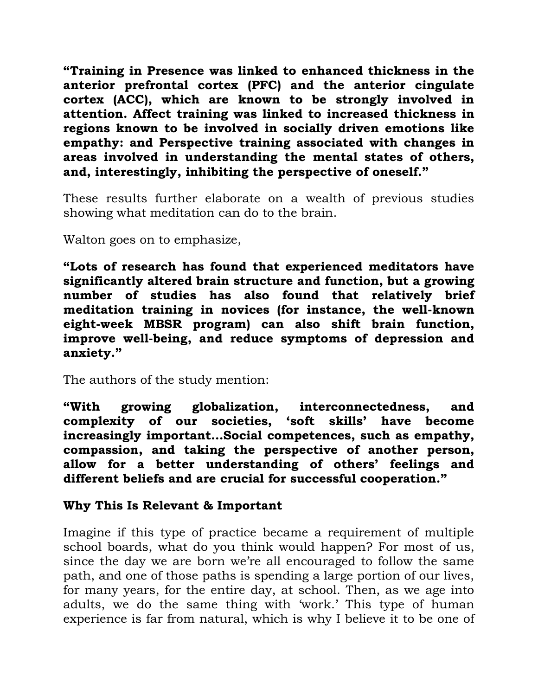**"Training in Presence was linked to enhanced thickness in the anterior prefrontal cortex (PFC) and the anterior cingulate cortex (ACC), which are known to be strongly involved in attention. Affect training was linked to increased thickness in regions known to be involved in socially driven emotions like empathy: and Perspective training associated with changes in areas involved in understanding the mental states of others, and, interestingly, inhibiting the perspective of oneself."**

These results further elaborate on a wealth of previous studies showing what meditation can do to the brain.

Walton goes on to emphasize,

**"Lots of research has found that experienced meditators have significantly altered brain structure and function, but a growing number of studies has also found that relatively brief meditation training in novices (for instance, the well-known eight-week MBSR program) can also shift brain function, improve well-being, and reduce symptoms of depression and anxiety."**

The authors of the study mention:

**"With growing globalization, interconnectedness, and complexity of our societies, 'soft skills' have become increasingly important…Social competences, such as empathy, compassion, and taking the perspective of another person, allow for a better understanding of others' feelings and different beliefs and are crucial for successful cooperation."**

## **Why This Is Relevant & Important**

Imagine if this type of practice became a requirement of multiple school boards, what do you think would happen? For most of us, since the day we are born we're all encouraged to follow the same path, and one of those paths is spending a large portion of our lives, for many years, for the entire day, at school. Then, as we age into adults, we do the same thing with 'work.' This type of human experience is far from natural, which is why I believe it to be one of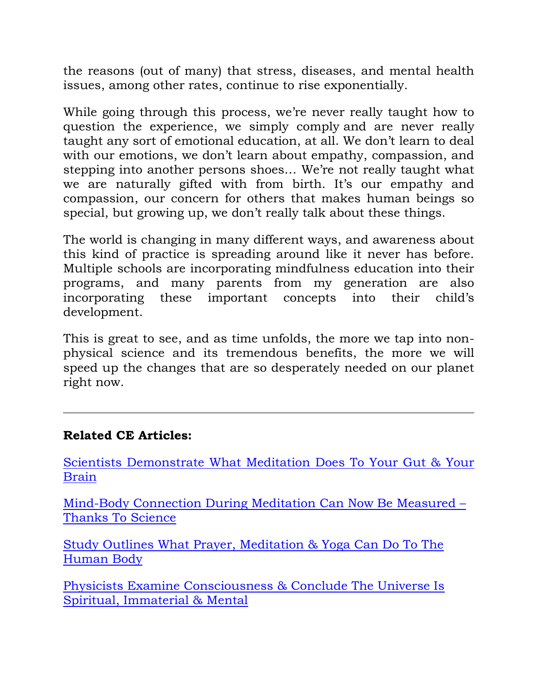the reasons (out of many) that stress, diseases, and mental health issues, among other rates, continue to rise exponentially.

While going through this process, we're never really taught how to question the experience, we simply comply and are never really taught any sort of emotional education, at all. We don't learn to deal with our emotions, we don't learn about empathy, compassion, and stepping into another persons shoes… We're not really taught what we are naturally gifted with from birth. It's our empathy and compassion, our concern for others that makes human beings so special, but growing up, we don't really talk about these things.

The world is changing in many different ways, and awareness about this kind of practice is spreading around like it never has before. Multiple schools are incorporating mindfulness education into their programs, and many parents from my generation are also incorporating these important concepts into their child's development.

This is great to see, and as time unfolds, the more we tap into nonphysical science and its tremendous benefits, the more we will speed up the changes that are so desperately needed on our planet right now.

## **Related CE Articles:**

[Scientists Demonstrate What Meditation Does To Your Gut & Your](http://www.collective-evolution.com/2016/06/28/scientists-demonstrate-what-meditation-does-to-your-gut-your-brain/)  [Brain](http://www.collective-evolution.com/2016/06/28/scientists-demonstrate-what-meditation-does-to-your-gut-your-brain/)

[Mind-Body Connection During Meditation Can Now Be Measured](http://www.collective-evolution.com/2017/06/03/mind-body-connection-during-meditation-can-now-be-measured-thanks-to-science/) – [Thanks To Science](http://www.collective-evolution.com/2017/06/03/mind-body-connection-during-meditation-can-now-be-measured-thanks-to-science/)

[Study Outlines What Prayer, Meditation & Yoga Can Do To The](http://www.collective-evolution.com/2018/03/24/study-outlines-what-prayer-meditation-yoga-can-do-to-the-human-body/)  [Human Body](http://www.collective-evolution.com/2018/03/24/study-outlines-what-prayer-meditation-yoga-can-do-to-the-human-body/)

[Physicists Examine Consciousness & Conclude The Universe Is](http://www.collective-evolution.com/2016/02/07/physicists-examine-consciousness-conclude-the-universe-is-spiritual-immaterial-mental/)  [Spiritual, Immaterial & Mental](http://www.collective-evolution.com/2016/02/07/physicists-examine-consciousness-conclude-the-universe-is-spiritual-immaterial-mental/)